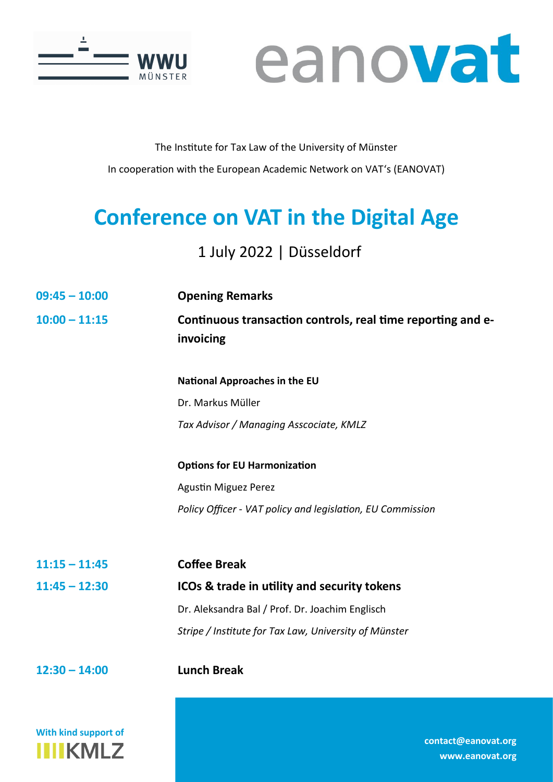



## The Institute for Tax Law of the University of Münster In cooperation with the European Academic Network on VAT's (EANOVAT)

## **Conference on VAT in the Digital Age**

## 1 July 2022 | Düsseldorf

- **09:45 – 10:00 Opening Remarks**
- **10:00 – 11:15 Continuous transaction controls, real time reporting and einvoicing**

**National Approaches in the EU** Dr. Markus Müller *Tax Advisor / Managing Asscociate, KMLZ* 

**Options for EU Harmonization** Agustin Miguez Perez *Policy Officer - VAT policy and legislation, EU Commission*

**11:15 – 11:45 Coffee Break 11:45 – 12:30 ICOs & trade in utility and security tokens**  Dr. Aleksandra Bal / Prof. Dr. Joachim Englisch *Stripe / Institute for Tax Law, University of Münster*

**12:30 – 14:00 Lunch Break**

**With kind support of IIIIKMLZ** 

**[contact@eanovat.org](mailto:contact@eanovat.org)  [www.eanovat.org](http://www.eanovat.org)**